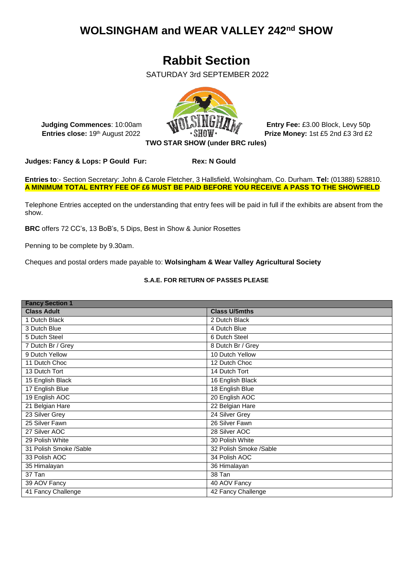## **WOLSINGHAM and WEAR VALLEY 242nd SHOW**

# **Rabbit Section**

SATURDAY 3rd SEPTEMBER 2022



**Judging Commences**: 10:00am **Entry Fee:** £3.00 Block, Levy 50p

**Entries close:** 19th August 2022 **Prize Money:** 1st £5 2nd £3 3rd £2

**Judges: Fancy & Lops: P Gould Fur: Rex: N Gould**

**Entries to**:- Section Secretary: John & Carole Fletcher, 3 Hallsfield, Wolsingham, Co. Durham. **Tel:** (01388) 528810. **A MINIMUM TOTAL ENTRY FEE OF £6 MUST BE PAID BEFORE YOU RECEIVE A PASS TO THE SHOWFIELD**

Telephone Entries accepted on the understanding that entry fees will be paid in full if the exhibits are absent from the show.

**BRC** offers 72 CC's, 13 BoB's, 5 Dips, Best in Show & Junior Rosettes

Penning to be complete by 9.30am.

Cheques and postal orders made payable to: **Wolsingham & Wear Valley Agricultural Society**

### **S.A.E. FOR RETURN OF PASSES PLEASE**

| <b>Fancy Section 1</b> |  |  |  |
|------------------------|--|--|--|
| <b>Class U/5mths</b>   |  |  |  |
| 2 Dutch Black          |  |  |  |
| 4 Dutch Blue           |  |  |  |
| 6 Dutch Steel          |  |  |  |
| 8 Dutch Br / Grey      |  |  |  |
| 10 Dutch Yellow        |  |  |  |
| 12 Dutch Choc          |  |  |  |
| 14 Dutch Tort          |  |  |  |
| 16 English Black       |  |  |  |
| 18 English Blue        |  |  |  |
| 20 English AOC         |  |  |  |
| 22 Belgian Hare        |  |  |  |
| 24 Silver Grey         |  |  |  |
| 26 Silver Fawn         |  |  |  |
| 28 Silver AOC          |  |  |  |
| 30 Polish White        |  |  |  |
| 32 Polish Smoke /Sable |  |  |  |
| 34 Polish AOC          |  |  |  |
| 36 Himalayan           |  |  |  |
| 38 Tan                 |  |  |  |
| 40 AOV Fancy           |  |  |  |
| 42 Fancy Challenge     |  |  |  |
|                        |  |  |  |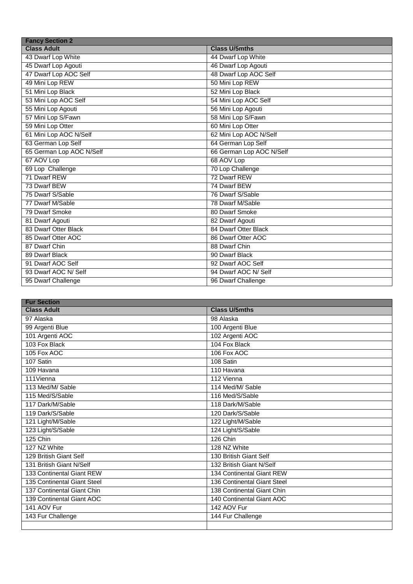| <b>Fancy Section 2</b>   |                          |  |  |
|--------------------------|--------------------------|--|--|
| <b>Class Adult</b>       | <b>Class U/5mths</b>     |  |  |
| 43 Dwarf Lop White       | 44 Dwarf Lop White       |  |  |
| 45 Dwarf Lop Agouti      | 46 Dwarf Lop Agouti      |  |  |
| 47 Dwarf Lop AOC Self    | 48 Dwarf Lop AOC Self    |  |  |
| 49 Mini Lop REW          | 50 Mini Lop REW          |  |  |
| 51 Mini Lop Black        | 52 Mini Lop Black        |  |  |
| 53 Mini Lop AOC Self     | 54 Mini Lop AOC Self     |  |  |
| 55 Mini Lop Agouti       | 56 Mini Lop Agouti       |  |  |
| 57 Mini Lop S/Fawn       | 58 Mini Lop S/Fawn       |  |  |
| 59 Mini Lop Otter        | 60 Mini Lop Otter        |  |  |
| 61 Mini Lop AOC N/Self   | 62 Mini Lop AOC N/Self   |  |  |
| 63 German Lop Self       | 64 German Lop Self       |  |  |
| 65 German Lop AOC N/Self | 66 German Lop AOC N/Self |  |  |
| 67 AOV Lop               | 68 AOV Lop               |  |  |
| 69 Lop Challenge         | 70 Lop Challenge         |  |  |
| 71 Dwarf REW             | 72 Dwarf REW             |  |  |
| 73 Dwarf BEW             | 74 Dwarf BEW             |  |  |
| 75 Dwarf S/Sable         | 76 Dwarf S/Sable         |  |  |
| 77 Dwarf M/Sable         | 78 Dwarf M/Sable         |  |  |
| 79 Dwarf Smoke           | 80 Dwarf Smoke           |  |  |
| 81 Dwarf Agouti          | 82 Dwarf Agouti          |  |  |
| 83 Dwarf Otter Black     | 84 Dwarf Otter Black     |  |  |
| 85 Dwarf Otter AOC       | 86 Dwarf Otter AOC       |  |  |
| 87 Dwarf Chin            | 88 Dwarf Chin            |  |  |
| 89 Dwarf Black           | 90 Dwarf Black           |  |  |
| 91 Dwarf AOC Self        | 92 Dwarf AOC Self        |  |  |
| 93 Dwarf AOC N/ Self     | 94 Dwarf AOC N/ Self     |  |  |
| 95 Dwarf Challenge       | 96 Dwarf Challenge       |  |  |

| <b>Fur Section</b>          |                             |  |
|-----------------------------|-----------------------------|--|
| <b>Class Adult</b>          | <b>Class U/5mths</b>        |  |
| 97 Alaska                   | 98 Alaska                   |  |
| 99 Argenti Blue             | 100 Argenti Blue            |  |
| 101 Argenti AOC             | 102 Argenti AOC             |  |
| 103 Fox Black               | 104 Fox Black               |  |
| 105 Fox AOC                 | 106 Fox AOC                 |  |
| 107 Satin                   | 108 Satin                   |  |
| 109 Havana                  | 110 Havana                  |  |
| 111Vienna                   | 112 Vienna                  |  |
| 113 Med/M/ Sable            | 114 Med/M/ Sable            |  |
| 115 Med/S/Sable             | 116 Med/S/Sable             |  |
| 117 Dark/M/Sable            | 118 Dark/M/Sable            |  |
| 119 Dark/S/Sable            | 120 Dark/S/Sable            |  |
| 121 Light/M/Sable           | 122 Light/M/Sable           |  |
| 123 Light/S/Sable           | 124 Light/S/Sable           |  |
| 125 Chin                    | 126 Chin                    |  |
| 127 NZ White                | 128 NZ White                |  |
| 129 British Giant Self      | 130 British Giant Self      |  |
| 131 British Giant N/Self    | 132 British Giant N/Self    |  |
| 133 Continental Giant REW   | 134 Continental Giant REW   |  |
| 135 Continental Giant Steel | 136 Continental Giant Steel |  |
| 137 Continental Giant Chin  | 138 Continental Giant Chin  |  |
| 139 Continental Giant AOC   | 140 Continental Giant AOC   |  |
| 141 AOV Fur                 | 142 AOV Fur                 |  |
| 143 Fur Challenge           | 144 Fur Challenge           |  |
|                             |                             |  |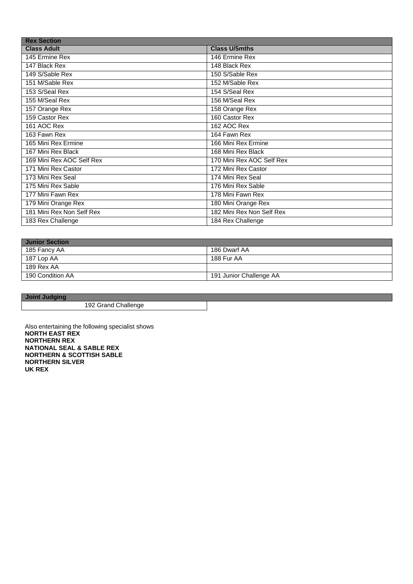| <b>Rex Section</b>        |                           |  |
|---------------------------|---------------------------|--|
| <b>Class Adult</b>        | <b>Class U/5mths</b>      |  |
| 145 Ermine Rex            | 146 Ermine Rex            |  |
| 147 Black Rex             | 148 Black Rex             |  |
| 149 S/Sable Rex           | 150 S/Sable Rex           |  |
| 151 M/Sable Rex           | 152 M/Sable Rex           |  |
| 153 S/Seal Rex            | 154 S/Seal Rex            |  |
| 155 M/Seal Rex            | 156 M/Seal Rex            |  |
| 157 Orange Rex            | 158 Orange Rex            |  |
| 159 Castor Rex            | 160 Castor Rex            |  |
| 161 AOC Rex               | 162 AOC Rex               |  |
| 163 Fawn Rex              | 164 Fawn Rex              |  |
| 165 Mini Rex Ermine       | 166 Mini Rex Ermine       |  |
| 167 Mini Rex Black        | 168 Mini Rex Black        |  |
| 169 Mini Rex AOC Self Rex | 170 Mini Rex AOC Self Rex |  |
| 171 Mini Rex Castor       | 172 Mini Rex Castor       |  |
| 173 Mini Rex Seal         | 174 Mini Rex Seal         |  |
| 175 Mini Rex Sable        | 176 Mini Rex Sable        |  |
| 177 Mini Fawn Rex         | 178 Mini Fawn Rex         |  |
| 179 Mini Orange Rex       | 180 Mini Orange Rex       |  |
| 181 Mini Rex Non Self Rex | 182 Mini Rex Non Self Rex |  |
| 183 Rex Challenge         | 184 Rex Challenge         |  |

| <b>Junior Section</b> |                         |
|-----------------------|-------------------------|
| 185 Fancy AA          | 186 Dwarf AA            |
| 187 Lop AA            | 188 Fur AA              |
| 189 Rex AA            |                         |
| 190 Condition AA      | 191 Junior Challenge AA |

**Joint Judging**

Grand Challenge

Also entertaining the following specialist shows **NORTH EAST REX NORTHERN REX NATIONAL SEAL & SABLE REX NORTHERN & SCOTTISH SABLE NORTHERN SILVER UK REX**